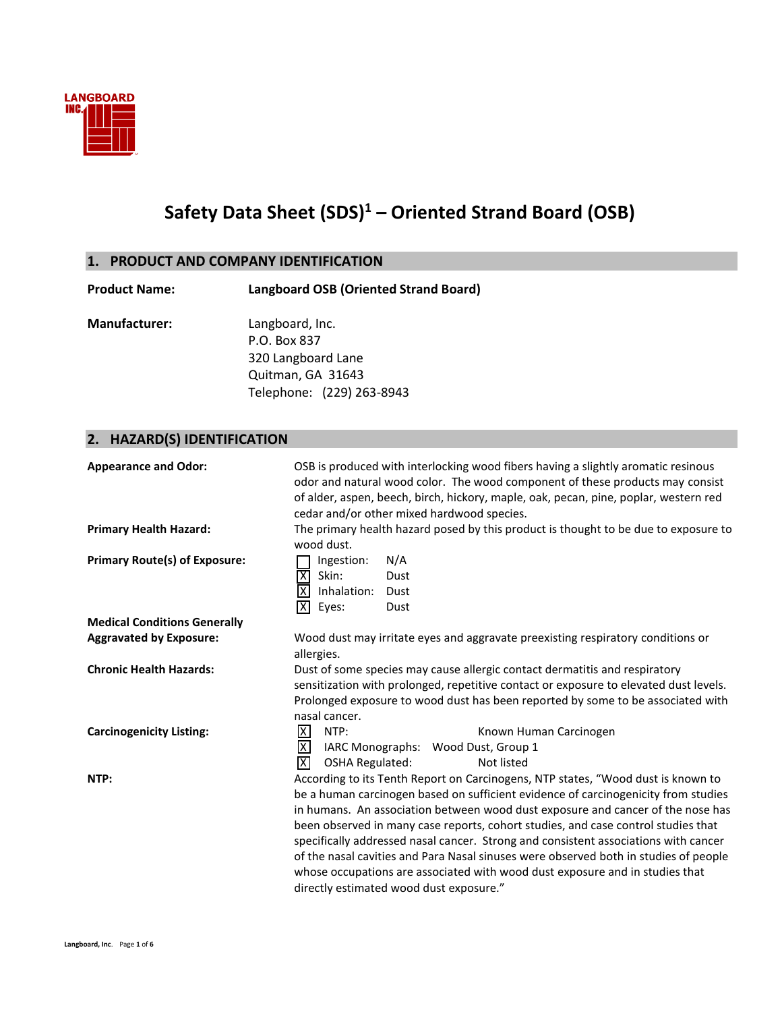

# **Safety Data Sheet (SDS)<sup>1</sup> – Oriented Strand Board (OSB)**

## **1. PRODUCT AND COMPANY IDENTIFICATION**

| <b>Product Name:</b> | Langboard OSB (Oriented Strand Board) |  |
|----------------------|---------------------------------------|--|
| <b>Manufacturer:</b> | Langboard, Inc.                       |  |
|                      | P.O. Box 837                          |  |
|                      | 320 Langboard Lane                    |  |
|                      | Quitman, GA 31643                     |  |
|                      | Telephone: (229) 263-8943             |  |
|                      |                                       |  |
|                      |                                       |  |

# **2. HAZARD(S) IDENTIFICATION**

| <b>Appearance and Odor:</b>          | OSB is produced with interlocking wood fibers having a slightly aromatic resinous<br>odor and natural wood color. The wood component of these products may consist<br>of alder, aspen, beech, birch, hickory, maple, oak, pecan, pine, poplar, western red<br>cedar and/or other mixed hardwood species.                                                                                                                                                                                                                                                                                                                                                 |  |  |
|--------------------------------------|----------------------------------------------------------------------------------------------------------------------------------------------------------------------------------------------------------------------------------------------------------------------------------------------------------------------------------------------------------------------------------------------------------------------------------------------------------------------------------------------------------------------------------------------------------------------------------------------------------------------------------------------------------|--|--|
| <b>Primary Health Hazard:</b>        | The primary health hazard posed by this product is thought to be due to exposure to<br>wood dust.                                                                                                                                                                                                                                                                                                                                                                                                                                                                                                                                                        |  |  |
| <b>Primary Route(s) of Exposure:</b> | Ingestion:<br>N/A<br>ΙXΙ<br>Skin:<br>Dust<br>X<br>Inhalation:<br>Dust<br>冈<br>Eyes:<br>Dust                                                                                                                                                                                                                                                                                                                                                                                                                                                                                                                                                              |  |  |
| <b>Medical Conditions Generally</b>  |                                                                                                                                                                                                                                                                                                                                                                                                                                                                                                                                                                                                                                                          |  |  |
| <b>Aggravated by Exposure:</b>       | Wood dust may irritate eyes and aggravate preexisting respiratory conditions or<br>allergies.                                                                                                                                                                                                                                                                                                                                                                                                                                                                                                                                                            |  |  |
| <b>Chronic Health Hazards:</b>       | Dust of some species may cause allergic contact dermatitis and respiratory<br>sensitization with prolonged, repetitive contact or exposure to elevated dust levels.<br>Prolonged exposure to wood dust has been reported by some to be associated with<br>nasal cancer.                                                                                                                                                                                                                                                                                                                                                                                  |  |  |
| <b>Carcinogenicity Listing:</b>      | $\mathsf{X}$<br>NTP:<br>Known Human Carcinogen<br>⊠<br>IARC Monographs: Wood Dust, Group 1<br>冈<br><b>OSHA Regulated:</b><br>Not listed                                                                                                                                                                                                                                                                                                                                                                                                                                                                                                                  |  |  |
| NTP:                                 | According to its Tenth Report on Carcinogens, NTP states, "Wood dust is known to<br>be a human carcinogen based on sufficient evidence of carcinogenicity from studies<br>in humans. An association between wood dust exposure and cancer of the nose has<br>been observed in many case reports, cohort studies, and case control studies that<br>specifically addressed nasal cancer. Strong and consistent associations with cancer<br>of the nasal cavities and Para Nasal sinuses were observed both in studies of people<br>whose occupations are associated with wood dust exposure and in studies that<br>directly estimated wood dust exposure." |  |  |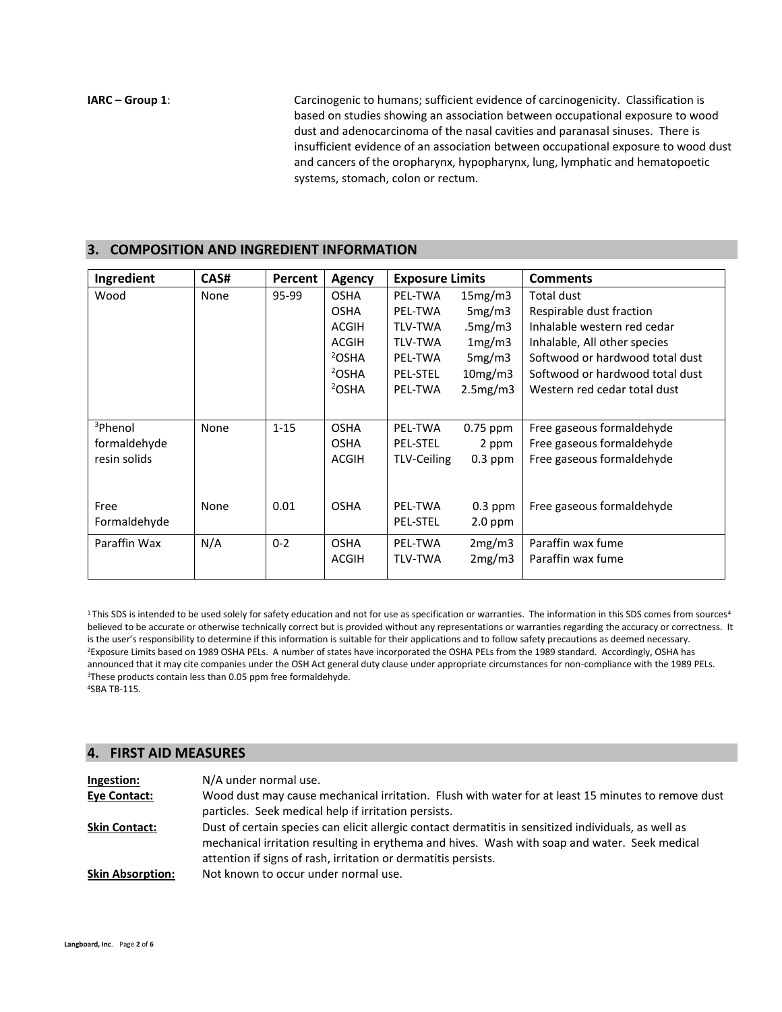**IARC – Group 1:** Carcinogenic to humans; sufficient evidence of carcinogenicity. Classification is based on studies showing an association between occupational exposure to wood dust and adenocarcinoma of the nasal cavities and paranasal sinuses. There is insufficient evidence of an association between occupational exposure to wood dust and cancers of the oropharynx, hypopharynx, lung, lymphatic and hematopoetic systems, stomach, colon or rectum.

### **3. COMPOSITION AND INGREDIENT INFORMATION**

| Ingredient          | CAS# | Percent  | <b>Agency</b>     | <b>Exposure Limits</b> |           | <b>Comments</b>                 |
|---------------------|------|----------|-------------------|------------------------|-----------|---------------------------------|
| Wood                | None | 95-99    | <b>OSHA</b>       | PEL-TWA                | 15mg/m3   | Total dust                      |
|                     |      |          | <b>OSHA</b>       | PEL-TWA                | 5mg/m3    | Respirable dust fraction        |
|                     |      |          | ACGIH             | <b>TLV-TWA</b>         | .5mg/m3   | Inhalable western red cedar     |
|                     |      |          | <b>ACGIH</b>      | <b>TLV-TWA</b>         | 1mg/m3    | Inhalable, All other species    |
|                     |      |          | <sup>2</sup> OSHA | PEL-TWA                | 5mg/m3    | Softwood or hardwood total dust |
|                     |      |          | <sup>2</sup> OSHA | <b>PEL-STEL</b>        | 10mg/m3   | Softwood or hardwood total dust |
|                     |      |          | <sup>2</sup> OSHA | PEL-TWA                | 2.5mg/m3  | Western red cedar total dust    |
|                     |      |          |                   |                        |           |                                 |
| <sup>3</sup> Phenol | None | $1 - 15$ | <b>OSHA</b>       | PEL-TWA                | 0.75 ppm  | Free gaseous formaldehyde       |
| formaldehyde        |      |          | <b>OSHA</b>       | PEL-STEL               | 2 ppm     | Free gaseous formaldehyde       |
| resin solids        |      |          | ACGIH             | TLV-Ceiling            | $0.3$ ppm | Free gaseous formaldehyde       |
|                     |      |          |                   |                        |           |                                 |
| Free                | None | 0.01     | <b>OSHA</b>       | PEL-TWA                | $0.3$ ppm | Free gaseous formaldehyde       |
| Formaldehyde        |      |          |                   | <b>PEL-STEL</b>        | $2.0$ ppm |                                 |
|                     |      |          |                   |                        |           |                                 |
| Paraffin Wax        | N/A  | $0 - 2$  | <b>OSHA</b>       | PEL-TWA                | 2mg/m3    | Paraffin wax fume               |
|                     |      |          | <b>ACGIH</b>      | <b>TLV-TWA</b>         | 2mg/m3    | Paraffin wax fume               |
|                     |      |          |                   |                        |           |                                 |

<sup>1</sup>This SDS is intended to be used solely for safety education and not for use as specification or warranties. The information in this SDS comes from sources<sup>4</sup> believed to be accurate or otherwise technically correct but is provided without any representations or warranties regarding the accuracy or correctness. It is the user's responsibility to determine if this information is suitable for their applications and to follow safety precautions as deemed necessary. <sup>2</sup>Exposure Limits based on 1989 OSHA PELs. A number of states have incorporated the OSHA PELs from the 1989 standard. Accordingly, OSHA has announced that it may cite companies under the OSH Act general duty clause under appropriate circumstances for non-compliance with the 1989 PELs. <sup>3</sup>These products contain less than 0.05 ppm free formaldehyde. <sup>4</sup>SBA TB-115.

### **4. FIRST AID MEASURES**

| Ingestion:              | N/A under normal use.                                                                                                                                                                                                                                                   |
|-------------------------|-------------------------------------------------------------------------------------------------------------------------------------------------------------------------------------------------------------------------------------------------------------------------|
| <b>Eve Contact:</b>     | Wood dust may cause mechanical irritation. Flush with water for at least 15 minutes to remove dust                                                                                                                                                                      |
|                         | particles. Seek medical help if irritation persists.                                                                                                                                                                                                                    |
| <b>Skin Contact:</b>    | Dust of certain species can elicit allergic contact dermatitis in sensitized individuals, as well as<br>mechanical irritation resulting in erythema and hives. Wash with soap and water. Seek medical<br>attention if signs of rash, irritation or dermatitis persists. |
| <b>Skin Absorption:</b> | Not known to occur under normal use.                                                                                                                                                                                                                                    |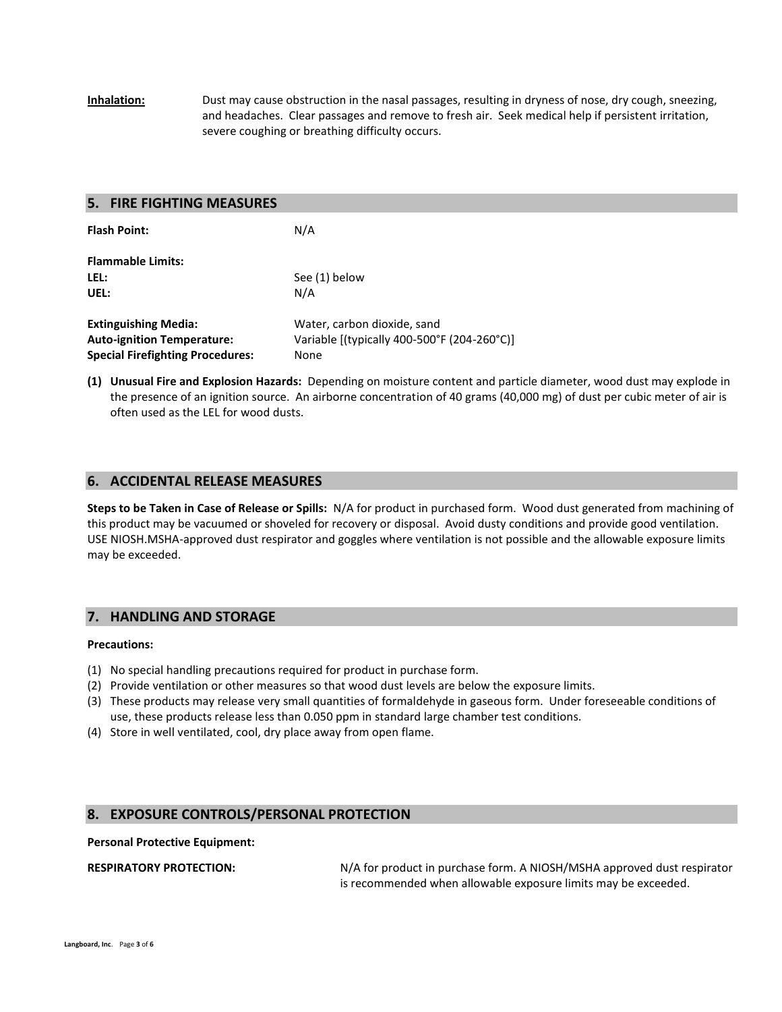**Inhalation:** Dust may cause obstruction in the nasal passages, resulting in dryness of nose, dry cough, sneezing, and headaches. Clear passages and remove to fresh air. Seek medical help if persistent irritation, severe coughing or breathing difficulty occurs.

### **5. FIRE FIGHTING MEASURES**

| <b>Flash Point:</b>                     | N/A                                         |
|-----------------------------------------|---------------------------------------------|
| <b>Flammable Limits:</b>                |                                             |
| LEL:                                    | See (1) below                               |
| UEL:                                    | N/A                                         |
| <b>Extinguishing Media:</b>             | Water, carbon dioxide, sand                 |
| <b>Auto-ignition Temperature:</b>       | Variable [(typically 400-500°F (204-260°C)] |
| <b>Special Firefighting Procedures:</b> | None                                        |

**(1) Unusual Fire and Explosion Hazards:** Depending on moisture content and particle diameter, wood dust may explode in the presence of an ignition source. An airborne concentration of 40 grams (40,000 mg) of dust per cubic meter of air is often used as the LEL for wood dusts.

### **6. ACCIDENTAL RELEASE MEASURES**

**Steps to be Taken in Case of Release or Spills:** N/A for product in purchased form. Wood dust generated from machining of this product may be vacuumed or shoveled for recovery or disposal. Avoid dusty conditions and provide good ventilation. USE NIOSH.MSHA-approved dust respirator and goggles where ventilation is not possible and the allowable exposure limits may be exceeded.

### **7. HANDLING AND STORAGE**

### **Precautions:**

- (1) No special handling precautions required for product in purchase form.
- (2) Provide ventilation or other measures so that wood dust levels are below the exposure limits.
- (3) These products may release very small quantities of formaldehyde in gaseous form. Under foreseeable conditions of use, these products release less than 0.050 ppm in standard large chamber test conditions.
- (4) Store in well ventilated, cool, dry place away from open flame.

### **8. EXPOSURE CONTROLS/PERSONAL PROTECTION**

### **Personal Protective Equipment:**

**RESPIRATORY PROTECTION:** N/A for product in purchase form. A NIOSH/MSHA approved dust respirator is recommended when allowable exposure limits may be exceeded.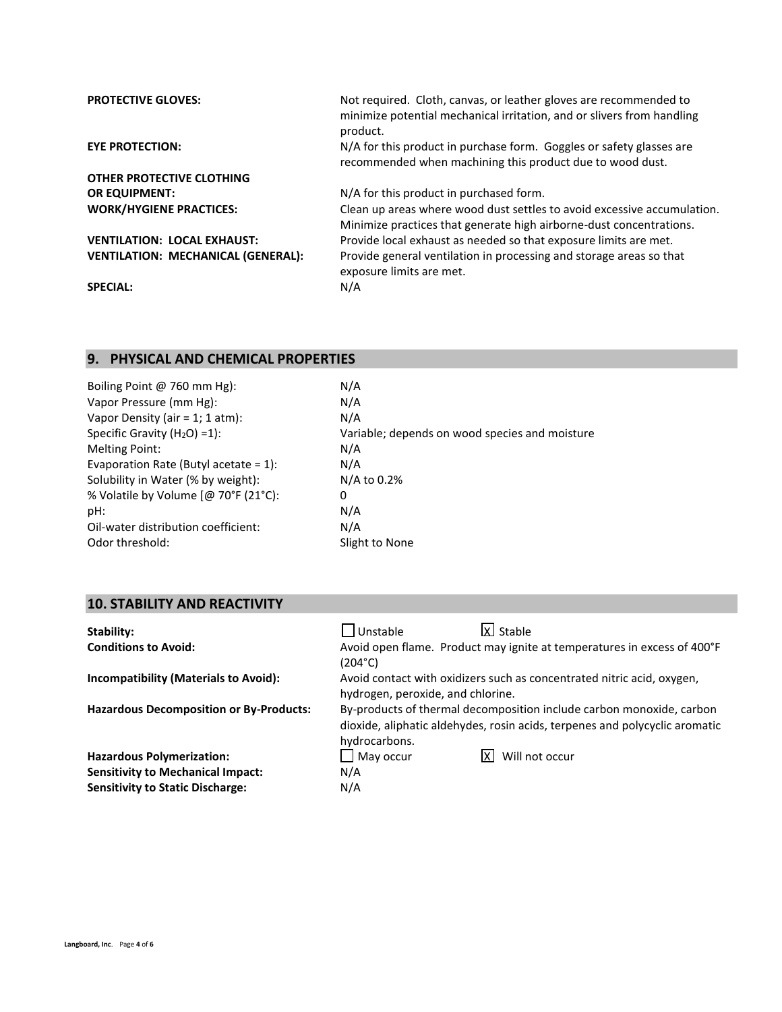| <b>PROTECTIVE GLOVES:</b>                 | Not required. Cloth, canvas, or leather gloves are recommended to<br>minimize potential mechanical irritation, and or slivers from handling<br>product. |
|-------------------------------------------|---------------------------------------------------------------------------------------------------------------------------------------------------------|
| <b>EYE PROTECTION:</b>                    | N/A for this product in purchase form. Goggles or safety glasses are<br>recommended when machining this product due to wood dust.                       |
| OTHER PROTECTIVE CLOTHING                 |                                                                                                                                                         |
| <b>OR EQUIPMENT:</b>                      | N/A for this product in purchased form.                                                                                                                 |
| <b>WORK/HYGIENE PRACTICES:</b>            | Clean up areas where wood dust settles to avoid excessive accumulation.<br>Minimize practices that generate high airborne-dust concentrations.          |
| <b>VENTILATION: LOCAL EXHAUST:</b>        | Provide local exhaust as needed so that exposure limits are met.                                                                                        |
| <b>VENTILATION: MECHANICAL (GENERAL):</b> | Provide general ventilation in processing and storage areas so that<br>exposure limits are met.                                                         |
| <b>SPECIAL:</b>                           | N/A                                                                                                                                                     |

# **9. PHYSICAL AND CHEMICAL PROPERTIES**

| Boiling Point @ 760 mm Hg):              | N/A                                            |
|------------------------------------------|------------------------------------------------|
| Vapor Pressure (mm Hg):                  | N/A                                            |
| Vapor Density (air = $1; 1$ atm):        | N/A                                            |
| Specific Gravity $(H2O) = 1$ :           | Variable; depends on wood species and moisture |
| <b>Melting Point:</b>                    | N/A                                            |
| Evaporation Rate (Butyl acetate = $1$ ): | N/A                                            |
| Solubility in Water (% by weight):       | $N/A$ to 0.2%                                  |
| % Volatile by Volume [@ 70°F (21°C):     | 0                                              |
| pH:                                      | N/A                                            |
| Oil-water distribution coefficient:      | N/A                                            |
| Odor threshold:                          | Slight to None                                 |
|                                          |                                                |

# **10. STABILITY AND REACTIVITY**

| Stability:                                     | X Stable<br>$\Box$ Unstable                                                                                                                                          |  |  |
|------------------------------------------------|----------------------------------------------------------------------------------------------------------------------------------------------------------------------|--|--|
| <b>Conditions to Avoid:</b>                    | Avoid open flame. Product may ignite at temperatures in excess of 400°F<br>(204°C)                                                                                   |  |  |
| <b>Incompatibility (Materials to Avoid):</b>   | Avoid contact with oxidizers such as concentrated nitric acid, oxygen,<br>hydrogen, peroxide, and chlorine.                                                          |  |  |
| <b>Hazardous Decomposition or By-Products:</b> | By-products of thermal decomposition include carbon monoxide, carbon<br>dioxide, aliphatic aldehydes, rosin acids, terpenes and polycyclic aromatic<br>hydrocarbons. |  |  |
| <b>Hazardous Polymerization:</b>               | $\Box$ May occur<br>Will not occur                                                                                                                                   |  |  |
| <b>Sensitivity to Mechanical Impact:</b>       | N/A                                                                                                                                                                  |  |  |
| <b>Sensitivity to Static Discharge:</b>        | N/A                                                                                                                                                                  |  |  |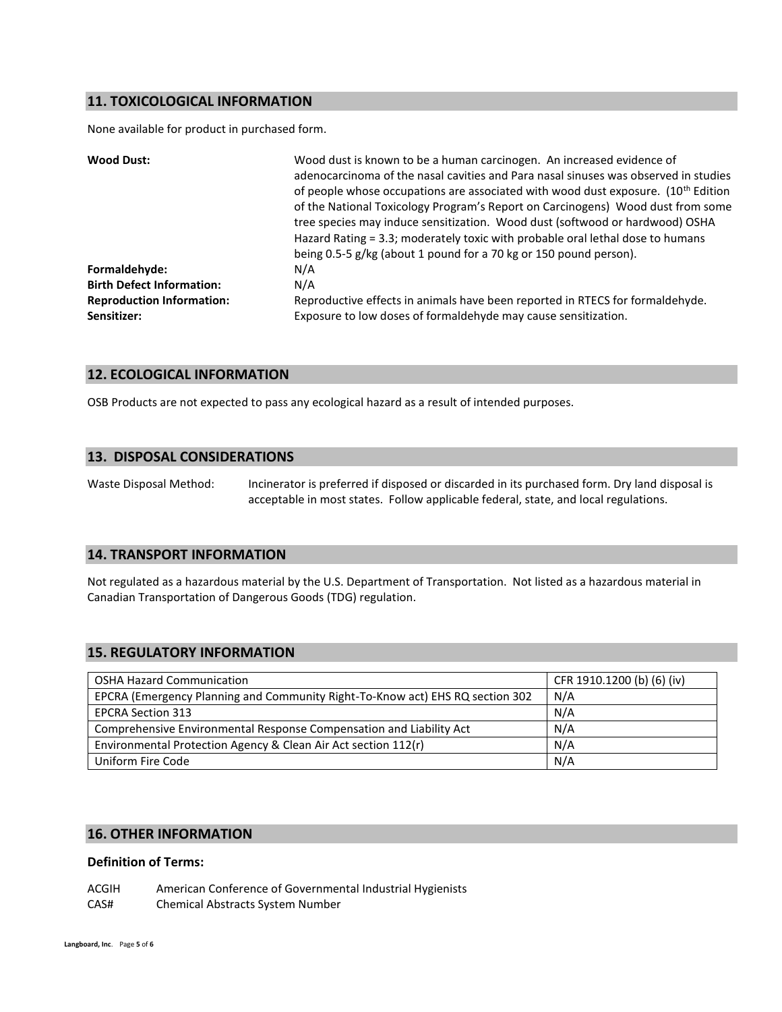### **11. TOXICOLOGICAL INFORMATION**

None available for product in purchased form.

| <b>Wood Dust:</b>                               | Wood dust is known to be a human carcinogen. An increased evidence of<br>adenocarcinoma of the nasal cavities and Para nasal sinuses was observed in studies<br>of people whose occupations are associated with wood dust exposure. $(10^{th}$ Edition<br>of the National Toxicology Program's Report on Carcinogens) Wood dust from some<br>tree species may induce sensitization. Wood dust (softwood or hardwood) OSHA<br>Hazard Rating = 3.3; moderately toxic with probable oral lethal dose to humans<br>being 0.5-5 g/kg (about 1 pound for a 70 kg or 150 pound person). |
|-------------------------------------------------|----------------------------------------------------------------------------------------------------------------------------------------------------------------------------------------------------------------------------------------------------------------------------------------------------------------------------------------------------------------------------------------------------------------------------------------------------------------------------------------------------------------------------------------------------------------------------------|
| Formaldehyde:                                   | N/A                                                                                                                                                                                                                                                                                                                                                                                                                                                                                                                                                                              |
| <b>Birth Defect Information:</b>                | N/A                                                                                                                                                                                                                                                                                                                                                                                                                                                                                                                                                                              |
| <b>Reproduction Information:</b><br>Sensitizer: | Reproductive effects in animals have been reported in RTECS for formaldehyde.<br>Exposure to low doses of formaldehyde may cause sensitization.                                                                                                                                                                                                                                                                                                                                                                                                                                  |

### **12. ECOLOGICAL INFORMATION**

OSB Products are not expected to pass any ecological hazard as a result of intended purposes.

### **13. DISPOSAL CONSIDERATIONS**

Waste Disposal Method: Incinerator is preferred if disposed or discarded in its purchased form. Dry land disposal is acceptable in most states. Follow applicable federal, state, and local regulations.

### **14. TRANSPORT INFORMATION**

Not regulated as a hazardous material by the U.S. Department of Transportation. Not listed as a hazardous material in Canadian Transportation of Dangerous Goods (TDG) regulation.

### **15. REGULATORY INFORMATION**

| <b>OSHA Hazard Communication</b>                                              | CFR 1910.1200 (b) (6) (iv) |
|-------------------------------------------------------------------------------|----------------------------|
| EPCRA (Emergency Planning and Community Right-To-Know act) EHS RQ section 302 | N/A                        |
| <b>EPCRA Section 313</b>                                                      | N/A                        |
| Comprehensive Environmental Response Compensation and Liability Act           | N/A                        |
| Environmental Protection Agency & Clean Air Act section 112(r)                | N/A                        |
| Uniform Fire Code                                                             | N/A                        |

### **16. OTHER INFORMATION**

### **Definition of Terms:**

ACGIH American Conference of Governmental Industrial Hygienists CAS# Chemical Abstracts System Number